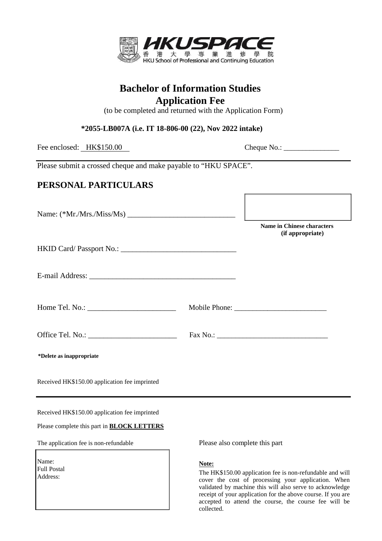

# **Bachelor of Information Studies Application Fee**

(to be completed and returned with the Application Form)

**1555-LB007A (i.e. IT 18-806-00 (72), November 2017 intake) \*2055-LB007A (i.e. IT 18-806-00 (22), Nov 2022 intake)**

Fee enclosed: HK\$150.00 Cheque No.: \_\_\_\_\_\_\_\_\_\_\_\_\_\_\_

Please submit a crossed cheque and make payable to "HKU SPACE".

## **PERSONAL PARTICULARS**

|                                                                                                                                                                                                                                                                                       | <b>Name in Chinese characters</b><br>(if appropriate) |
|---------------------------------------------------------------------------------------------------------------------------------------------------------------------------------------------------------------------------------------------------------------------------------------|-------------------------------------------------------|
|                                                                                                                                                                                                                                                                                       |                                                       |
|                                                                                                                                                                                                                                                                                       |                                                       |
| Home Tel. No.: $\frac{1}{2}$ Mo.: $\frac{1}{2}$ Mo.: $\frac{1}{2}$ Mo.: $\frac{1}{2}$ Mo.: $\frac{1}{2}$ Mo.: $\frac{1}{2}$ Mo.: $\frac{1}{2}$ Mo.: $\frac{1}{2}$ Mo.: $\frac{1}{2}$ Mo.: $\frac{1}{2}$ Mo.: $\frac{1}{2}$ Mo.: $\frac{1}{2}$ Mo.: $\frac{1}{2}$ Mo.: $\frac{1}{2}$ M |                                                       |
|                                                                                                                                                                                                                                                                                       |                                                       |
| *Delete as inappropriate                                                                                                                                                                                                                                                              |                                                       |
| Received HK\$150.00 application fee imprinted                                                                                                                                                                                                                                         |                                                       |

Received HK\$150.00 application fee imprinted

Please complete this part in **BLOCK LETTERS**

The application fee is non-refundable

Name: Full Postal Address:

Please also complete this part

Г

## **Note:**

The HK\$150.00 application fee is non-refundable and will cover the cost of processing your application. When validated by machine this will also serve to acknowledge receipt of your application for the above course. If you are accepted to attend the course, the course fee will be collected.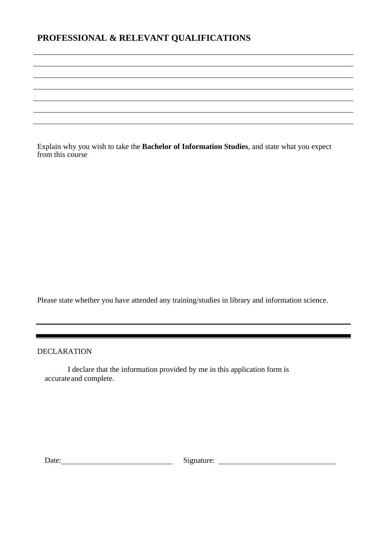## **PROFESSIONAL & RELEVANT QUALIFICATIONS**

Explain why you wish to take the **Bachelor of Information Studies**, and state what you expect from this course

Please state whether you have attended any training/studies in library and information science.

DECLARATION

I declare that the information provided by me in this application form is accurateand complete.

Date: Signature: Signature: Signature: Signature: Signature: Signature: Signature: Signature: Signature: Signature: Signature: Signature: Signature: Signature: Signature: Signature: Signature: Signature: Signature: Signatu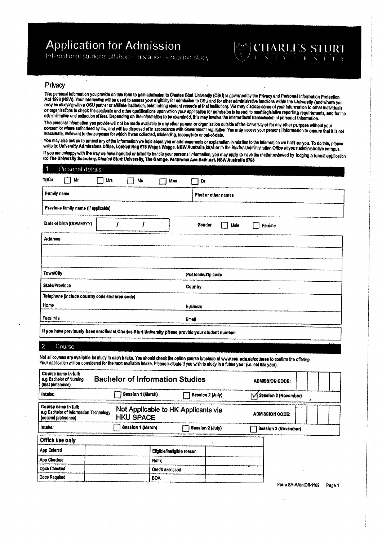# **Application for Admission**

International students offshore - distance equipation study



## Privacy

The personal information you provide on this form to gain admission to Charles Sturt University (CSU) is governed by the Privacy and Personal Information Protection Act 1998 (NSW). Your information will be used to assess your eligibility for admission to CSU and for other administrative functions within the University (and where you may be studying with a CSU partner or affiliate institution, establishing student records at that institution). We may disclose some of your information to other individuals or organisations to check the academic and other qualifications upon which your application for admission is based, to meet legislative reporting requirements, and for the administration and collection of fees. Depending on the information to be examined, this may involve the international transmission of personal information.

 $\ddot{\phantom{0}}$ 

The personal information you provide will not be made available to any other person or organisation outside of the University or for any other purpose without your consent or where authorised by law, and will be disposed of in accordance with Government regulation. You may access your personal information to ensure that it is not Inaccurate, irrelevant to the purposes for which it was collected, misleading, incomplete or out-of-date.

You may also ask us to amend any of the information we hold about you or add comments or explanation in relation to the information we hold on you. To do this, please write to: University Admissions Office, Locked Bag 676 Wagga Wagga, NSW Australia 2878 or to the Student Administration Office at your administrative campus, If you are unhappy with the way we have handled or falled to handle your personal information, you may apply to have the matter reviewed by lodging a formal application to: The University Secretary, Charles Sturt University, The Grange, Panorama Ave Bathurst, NSW Australia 2795

| 1<br>Personal details                                                                                |     |    |      |                                    |
|------------------------------------------------------------------------------------------------------|-----|----|------|------------------------------------|
| Title:<br>Mr                                                                                         | Mrs | Мв | Miss | Dr                                 |
| <b>Family name</b>                                                                                   |     |    |      | First or other names               |
| Previous family name (if applicable)                                                                 |     |    |      |                                    |
| Date of birth (DD/MM/YY)                                                                             |     |    |      | $\sim$<br>Gender<br>Female<br>Male |
| <b>Address</b>                                                                                       |     |    |      |                                    |
|                                                                                                      |     |    |      |                                    |
|                                                                                                      |     |    |      |                                    |
| <b>Town/City</b>                                                                                     |     |    |      | Postcode/Zip code                  |
| State/Province                                                                                       |     |    |      | Country                            |
| Telephone (include country code and area code)                                                       |     |    |      |                                    |
| Home                                                                                                 |     |    |      | <b>Business</b>                    |
| Facsimile                                                                                            |     |    |      | Email                              |
| If you have previously been enrolled at Charles Sturt University please provide your student number: |     |    |      |                                    |

#### -2 Course

Not all courses are available for study in each intake. You should check the online course brochure at www.csu.edu.aufcourses to confirm the offering. Your application will be considered for the next available intake. Please indicate if you wish to study in a future year (i.e. not this year).

| Course name in full:<br>e.g Bachelor of Nursing<br>(first preference)                 | <b>Bachelor of Information Studies</b> |                                                         |  | <b>ADMISSION CODE:</b>               |
|---------------------------------------------------------------------------------------|----------------------------------------|---------------------------------------------------------|--|--------------------------------------|
| Intake:                                                                               | Session 1 (March)                      | <b>Bession 2 (July)</b>                                 |  | $\triangledown$ Session 3 (November) |
| Course name in full:<br>e.g Bachelor of Information Technology<br>(second preference) |                                        | Not Applicable to HK Applicants via<br><b>HKU SPACE</b> |  | <b>ADMISSION CODE:</b>               |
| intake:<br>Session 1 (March)                                                          |                                        | Session 2 (July)                                        |  | Session 3 (November)                 |
| Office use only                                                                       |                                        |                                                         |  |                                      |
| <b>App Enlered</b>                                                                    |                                        | Eligible/Ineligible reason                              |  |                                      |
| App Checked                                                                           |                                        | Rank                                                    |  |                                      |
| Docs Checked                                                                          |                                        | <b>Credit assessed</b>                                  |  |                                      |
| Docs Required                                                                         |                                        | <b>BOA</b>                                              |  |                                      |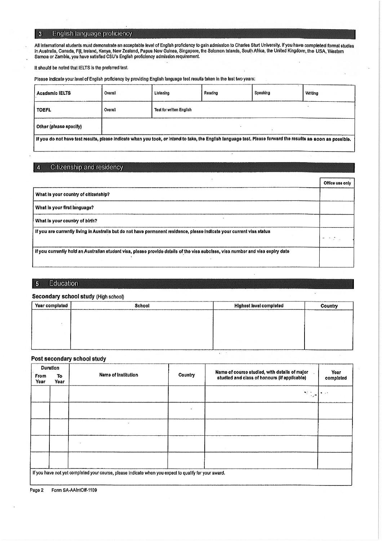#### English language proficiency  $\overline{\mathbf{3}}$

All international students must demonstrate an acceptable level of English proficiency to gain admission to Charles Sturt University. If you have completed formal studies in Australia, Canada, Fiji, Ireland, Kenya, New Zealand, Papua New Guinea, Singapore, the Solomon Islands, South Africa, the United Kingdom, the USA, Western<br>Samoa or Zambia, you have satisfied CSU's English proficiency ad

It should be noted that IELTS is the preferred test.

Please indicate your level of English proficiency by providing English language test results taken in the last two years:

| <b>Academic IELTS</b>                                                                                                                                         | Overall | Listening                       | Reading | Speaking | Writing |  |
|---------------------------------------------------------------------------------------------------------------------------------------------------------------|---------|---------------------------------|---------|----------|---------|--|
| <b>TOEFL</b>                                                                                                                                                  | Overall | <b>Test for written English</b> |         |          |         |  |
| Other (please specify)                                                                                                                                        |         |                                 |         |          |         |  |
| If you do not have test results, please indicate when you took, or intend to take, the English language test. Please forward the results as soon as possible. |         |                                 |         |          |         |  |

#### Citizenship and residency  $\overline{4}$

|                                                                                                                                 | Office use only |
|---------------------------------------------------------------------------------------------------------------------------------|-----------------|
| What is your country of citizenship?                                                                                            |                 |
| What is your first language?                                                                                                    |                 |
| What is your country of birth?                                                                                                  |                 |
| If you are currently living in Australia but do not have permanent residence, please indicate your current visa status          |                 |
| if you currently hold an Australian student visa, please provide details of the visa subclass, visa number and visa expiry date |                 |

#### Education  $\overline{\phantom{a}}$

### Secondary school study (High school)

| Year completed | School | <b>Highest level completed</b> | Country |
|----------------|--------|--------------------------------|---------|
|                |        |                                |         |
|                |        |                                |         |
|                |        |                                |         |
|                |        |                                |         |

 $\ddot{\phantom{a}}$ 

### Post secondary school study

|              | <b>Duration</b> |                                                                                                       |         | Name of course studied, with details of major . |                   |
|--------------|-----------------|-------------------------------------------------------------------------------------------------------|---------|-------------------------------------------------|-------------------|
| From<br>Year | To<br>Year      | <b>Name of Institution</b>                                                                            | Country | studied and class of honours (if applicable)    | Year<br>completed |
|              |                 |                                                                                                       |         | ×r ÷<br>$\cdot$ .                               |                   |
|              |                 |                                                                                                       |         |                                                 |                   |
|              |                 |                                                                                                       |         |                                                 |                   |
|              |                 |                                                                                                       |         |                                                 |                   |
|              |                 |                                                                                                       |         |                                                 |                   |
|              |                 | If you have not yet completed your course, please indicate when you expect to qualify for your award. |         |                                                 |                   |

Form SA-AAIntOff-1109 Page 2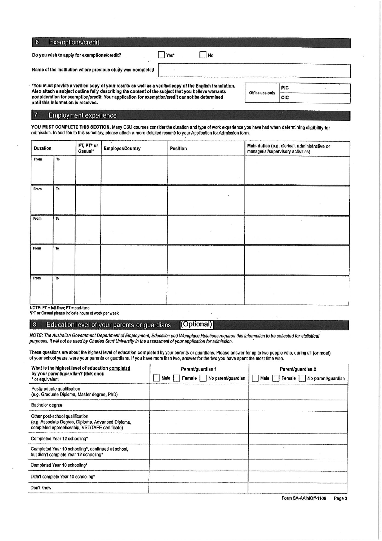| 6<br>Exemptions/credit                                                                                                                                                                                          |      |    |                 |            |
|-----------------------------------------------------------------------------------------------------------------------------------------------------------------------------------------------------------------|------|----|-----------------|------------|
| Do you wish to apply for exemptions/credit?                                                                                                                                                                     | Yes* | No |                 |            |
| Name of the institution where previous study was completed                                                                                                                                                      |      |    |                 |            |
| "You must provide a verified copy of your results as well as a verified copy of the English translation.<br>Also attach a subject outline fully describing the content of the subject that you believe warrants |      |    |                 | <b>PIC</b> |
| consideration for exemption/credit. Your application for exemption/credit cannot be determined                                                                                                                  |      |    | Office use only | <b>CIC</b> |

 $\Delta$ consideration for exemption/credit. Your application for exemption/credit cannot be determined until this information is received.

## Employment experience

 $\overline{\phantom{a}}$ 

 $|7$ 

YOU MUST COMPLETE THIS SECTION. Many CSU courses consider the duration and type of work experience you have had when determining eligibility for<br>admission. In addition to this summary, please attach a more detailed resumé

| Duration |                                              | FT, PT* or<br>Casual* | <b>Employer/Country</b> | Position | Main duties (e.g. clerical, administrative or<br>managerial/supervisory activities) |  |  |  |
|----------|----------------------------------------------|-----------------------|-------------------------|----------|-------------------------------------------------------------------------------------|--|--|--|
| From     | To                                           |                       |                         |          |                                                                                     |  |  |  |
| From     | To                                           |                       |                         | ٠        |                                                                                     |  |  |  |
| From     | To                                           |                       |                         |          |                                                                                     |  |  |  |
| From     | To                                           |                       |                         |          |                                                                                     |  |  |  |
| From     | To<br>$NOTE: FT = full-time: PT = nart-time$ |                       |                         |          |                                                                                     |  |  |  |

\*PT or Casual please indicate hours of work per week

#### $8$ (Optional) Education level of your parents or guardians

NOTE: The Australian Government Department of Employment, Education and Workplace Relations requires this information to be collected for statistical purposes. It will not be used by Charles Sturt University in the assessment of your application for admission.

These questions are about the highest level of education completed by your parents or guardians. Please answer for up to two people who, during all (or most) of your school years, were your parents or guardians. If you have more than two, answer for the two you have spent the most time with.

| What is the highest level of education completed<br>by your parent/guardian? (tick one):                                                 | Parent/guardian 1                      | Parent/guardian 2                   |  |  |
|------------------------------------------------------------------------------------------------------------------------------------------|----------------------------------------|-------------------------------------|--|--|
| * or equivalent                                                                                                                          | No parent/guardian<br>Female I<br>Male | Female   No parent/guardian<br>Male |  |  |
| Postgraduate qualification<br>(e.g. Graduate Diploma, Master degree, PhD)                                                                |                                        |                                     |  |  |
| Bachelor degree                                                                                                                          |                                        |                                     |  |  |
| Other post-school qualification<br>(e.g. Associate Degree, Diploma, Advanced Diploma,<br>completed apprenticeship, VET/TAFE certificate) |                                        |                                     |  |  |
| Completed Year 12 schooling*                                                                                                             |                                        |                                     |  |  |
| Completed Year 10 schooling*, continued at school,<br>but didn't complete Year 12 schooling*                                             |                                        |                                     |  |  |
| Completed Year 10 schooling*                                                                                                             |                                        |                                     |  |  |
| Didn't complete Year 10 schooling*                                                                                                       |                                        |                                     |  |  |
| Don't know                                                                                                                               |                                        |                                     |  |  |

Form SA-AAIntOff-1109 Page 3